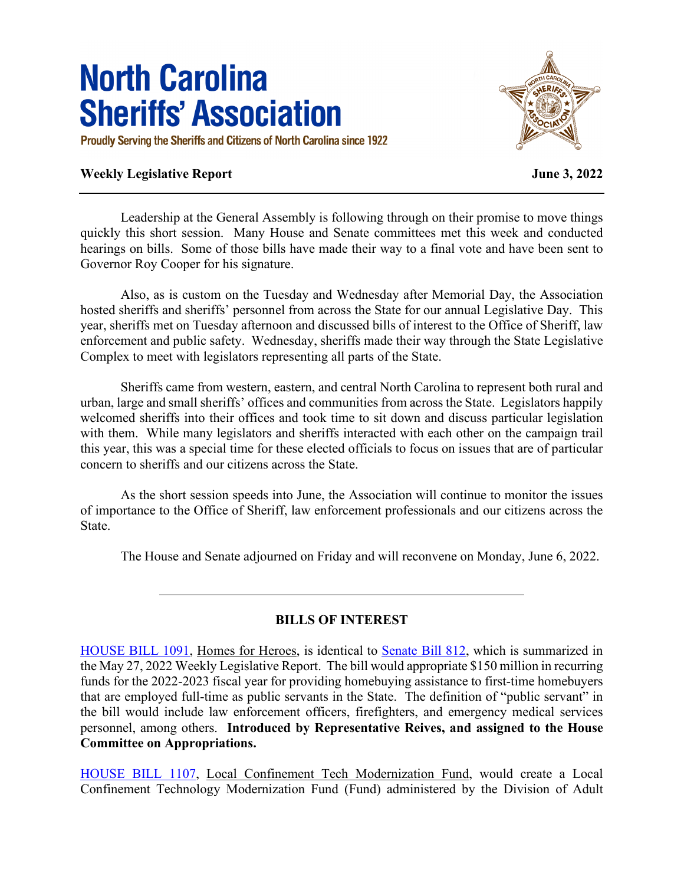# **North Carolina Sheriffs' Association**

Proudly Serving the Sheriffs and Citizens of North Carolina since 1922

## **Weekly Legislative Report June 3, 2022**



Leadership at the General Assembly is following through on their promise to move things quickly this short session. Many House and Senate committees met this week and conducted hearings on bills. Some of those bills have made their way to a final vote and have been sent to Governor Roy Cooper for his signature.

Also, as is custom on the Tuesday and Wednesday after Memorial Day, the Association hosted sheriffs and sheriffs' personnel from across the State for our annual Legislative Day. This year, sheriffs met on Tuesday afternoon and discussed bills of interest to the Office of Sheriff, law enforcement and public safety. Wednesday, sheriffs made their way through the State Legislative Complex to meet with legislators representing all parts of the State.

Sheriffs came from western, eastern, and central North Carolina to represent both rural and urban, large and small sheriffs' offices and communities from across the State. Legislators happily welcomed sheriffs into their offices and took time to sit down and discuss particular legislation with them. While many legislators and sheriffs interacted with each other on the campaign trail this year, this was a special time for these elected officials to focus on issues that are of particular concern to sheriffs and our citizens across the State.

As the short session speeds into June, the Association will continue to monitor the issues of importance to the Office of Sheriff, law enforcement professionals and our citizens across the State.

The House and Senate adjourned on Friday and will reconvene on Monday, June 6, 2022.

#### **BILLS OF INTEREST**

[HOUSE BILL 1091,](https://www.ncleg.gov/BillLookUp/2021/HB1091) Homes for Heroes, is identical to [Senate Bill 812,](https://www.ncleg.gov/BillLookUp/2021/SB812) which is summarized in the May 27, 2022 Weekly Legislative Report. The bill would appropriate \$150 million in recurring funds for the 2022-2023 fiscal year for providing homebuying assistance to first-time homebuyers that are employed full-time as public servants in the State. The definition of "public servant" in the bill would include law enforcement officers, firefighters, and emergency medical services personnel, among others. **Introduced by Representative Reives, and assigned to the House Committee on Appropriations.**

[HOUSE BILL 1107,](https://www.ncleg.gov/BillLookUp/2021/HB1107) Local Confinement Tech Modernization Fund, would create a Local Confinement Technology Modernization Fund (Fund) administered by the Division of Adult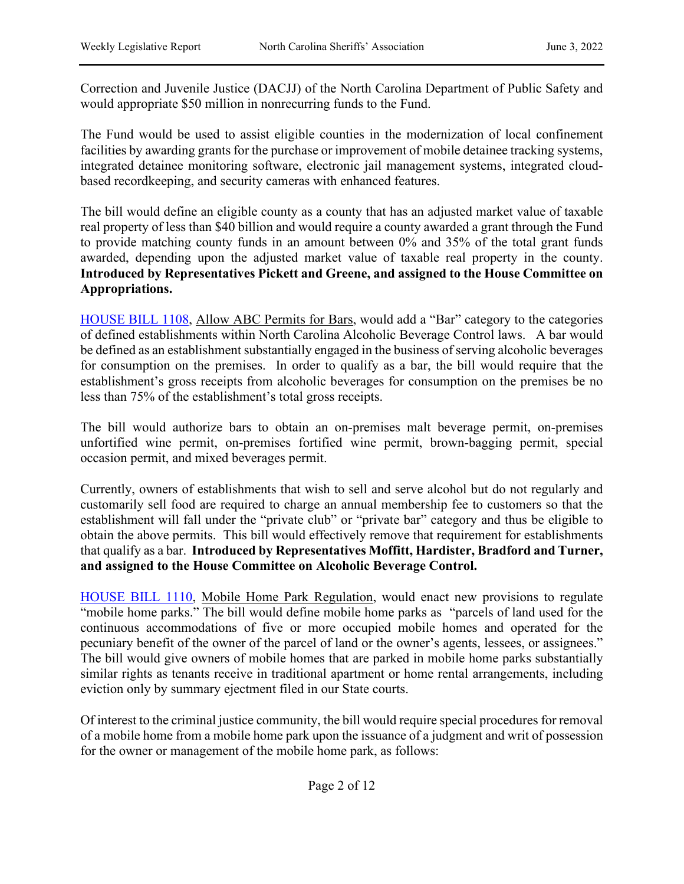Correction and Juvenile Justice (DACJJ) of the North Carolina Department of Public Safety and would appropriate \$50 million in nonrecurring funds to the Fund.

The Fund would be used to assist eligible counties in the modernization of local confinement facilities by awarding grants for the purchase or improvement of mobile detainee tracking systems, integrated detainee monitoring software, electronic jail management systems, integrated cloudbased recordkeeping, and security cameras with enhanced features.

The bill would define an eligible county as a county that has an adjusted market value of taxable real property of less than \$40 billion and would require a county awarded a grant through the Fund to provide matching county funds in an amount between 0% and 35% of the total grant funds awarded, depending upon the adjusted market value of taxable real property in the county. **Introduced by Representatives Pickett and Greene, and assigned to the House Committee on Appropriations.**

[HOUSE BILL 1108,](https://www.ncleg.gov/BillLookUp/2021/HB1108) Allow ABC Permits for Bars, would add a "Bar" category to the categories of defined establishments within North Carolina Alcoholic Beverage Control laws. A bar would be defined as an establishment substantially engaged in the business of serving alcoholic beverages for consumption on the premises. In order to qualify as a bar, the bill would require that the establishment's gross receipts from alcoholic beverages for consumption on the premises be no less than 75% of the establishment's total gross receipts.

The bill would authorize bars to obtain an on-premises malt beverage permit, on-premises unfortified wine permit, on-premises fortified wine permit, brown-bagging permit, special occasion permit, and mixed beverages permit.

Currently, owners of establishments that wish to sell and serve alcohol but do not regularly and customarily sell food are required to charge an annual membership fee to customers so that the establishment will fall under the "private club" or "private bar" category and thus be eligible to obtain the above permits. This bill would effectively remove that requirement for establishments that qualify as a bar. **Introduced by Representatives Moffitt, Hardister, Bradford and Turner, and assigned to the House Committee on Alcoholic Beverage Control.**

[HOUSE BILL 1110,](https://www.ncleg.gov/BillLookUp/2021/HB1110) Mobile Home Park Regulation, would enact new provisions to regulate "mobile home parks." The bill would define mobile home parks as "parcels of land used for the continuous accommodations of five or more occupied mobile homes and operated for the pecuniary benefit of the owner of the parcel of land or the owner's agents, lessees, or assignees." The bill would give owners of mobile homes that are parked in mobile home parks substantially similar rights as tenants receive in traditional apartment or home rental arrangements, including eviction only by summary ejectment filed in our State courts.

Of interest to the criminal justice community, the bill would require special procedures for removal of a mobile home from a mobile home park upon the issuance of a judgment and writ of possession for the owner or management of the mobile home park, as follows: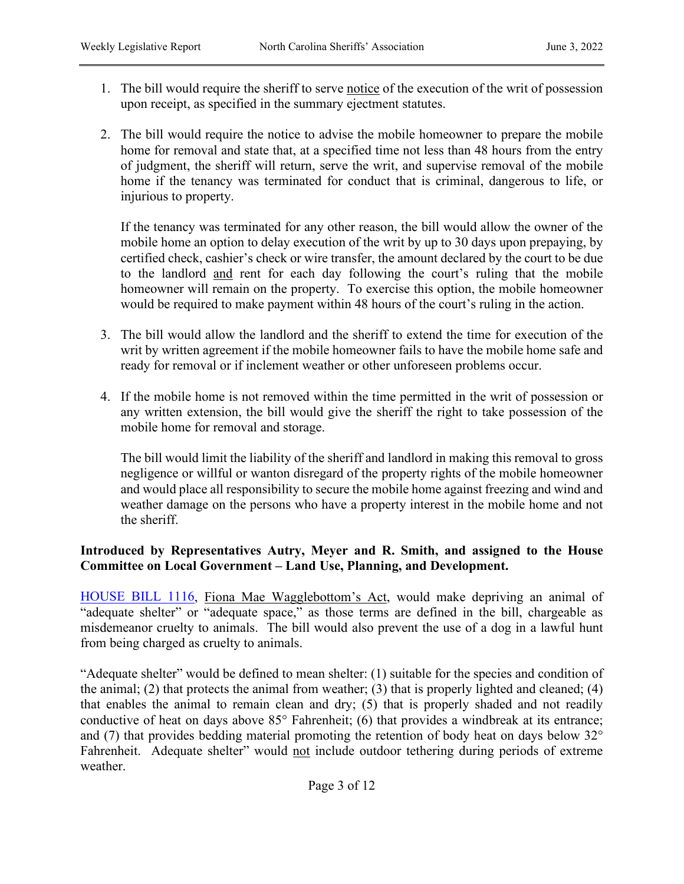- 1. The bill would require the sheriff to serve notice of the execution of the writ of possession upon receipt, as specified in the summary ejectment statutes.
- 2. The bill would require the notice to advise the mobile homeowner to prepare the mobile home for removal and state that, at a specified time not less than 48 hours from the entry of judgment, the sheriff will return, serve the writ, and supervise removal of the mobile home if the tenancy was terminated for conduct that is criminal, dangerous to life, or injurious to property.

If the tenancy was terminated for any other reason, the bill would allow the owner of the mobile home an option to delay execution of the writ by up to 30 days upon prepaying, by certified check, cashier's check or wire transfer, the amount declared by the court to be due to the landlord and rent for each day following the court's ruling that the mobile homeowner will remain on the property. To exercise this option, the mobile homeowner would be required to make payment within 48 hours of the court's ruling in the action.

- 3. The bill would allow the landlord and the sheriff to extend the time for execution of the writ by written agreement if the mobile homeowner fails to have the mobile home safe and ready for removal or if inclement weather or other unforeseen problems occur.
- 4. If the mobile home is not removed within the time permitted in the writ of possession or any written extension, the bill would give the sheriff the right to take possession of the mobile home for removal and storage.

The bill would limit the liability of the sheriff and landlord in making this removal to gross negligence or willful or wanton disregard of the property rights of the mobile homeowner and would place all responsibility to secure the mobile home against freezing and wind and weather damage on the persons who have a property interest in the mobile home and not the sheriff.

## **Introduced by Representatives Autry, Meyer and R. Smith, and assigned to the House Committee on Local Government – Land Use, Planning, and Development.**

[HOUSE BILL 1116,](https://www.ncleg.gov/BillLookUp/2021/HB1116) Fiona Mae Wagglebottom's Act, would make depriving an animal of "adequate shelter" or "adequate space," as those terms are defined in the bill, chargeable as misdemeanor cruelty to animals. The bill would also prevent the use of a dog in a lawful hunt from being charged as cruelty to animals.

"Adequate shelter" would be defined to mean shelter: (1) suitable for the species and condition of the animal; (2) that protects the animal from weather; (3) that is properly lighted and cleaned; (4) that enables the animal to remain clean and dry; (5) that is properly shaded and not readily conductive of heat on days above 85° Fahrenheit; (6) that provides a windbreak at its entrance; and (7) that provides bedding material promoting the retention of body heat on days below 32° Fahrenheit. Adequate shelter" would not include outdoor tethering during periods of extreme weather.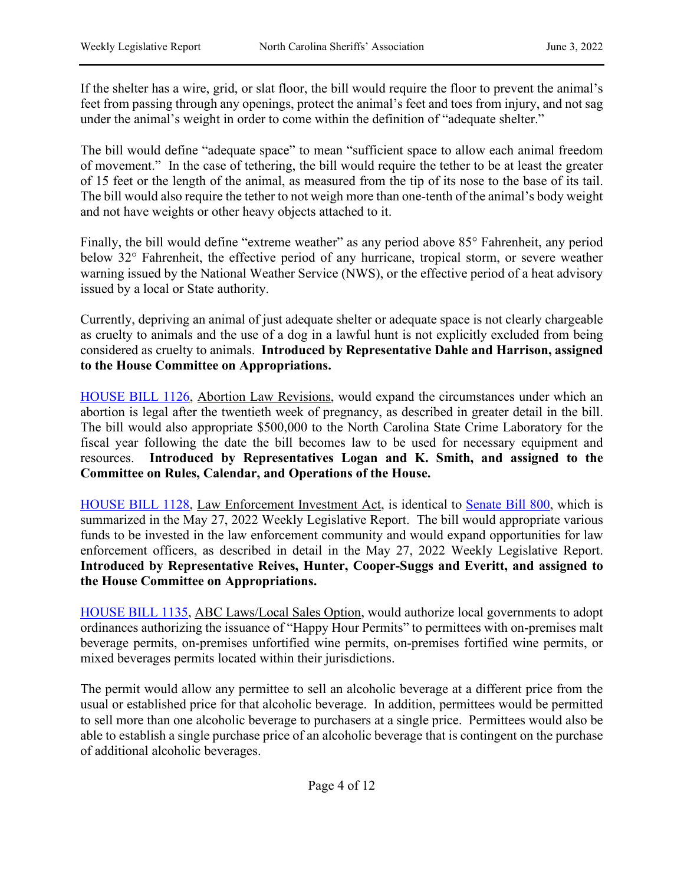If the shelter has a wire, grid, or slat floor, the bill would require the floor to prevent the animal's feet from passing through any openings, protect the animal's feet and toes from injury, and not sag under the animal's weight in order to come within the definition of "adequate shelter."

The bill would define "adequate space" to mean "sufficient space to allow each animal freedom of movement." In the case of tethering, the bill would require the tether to be at least the greater of 15 feet or the length of the animal, as measured from the tip of its nose to the base of its tail. The bill would also require the tether to not weigh more than one-tenth of the animal's body weight and not have weights or other heavy objects attached to it.

Finally, the bill would define "extreme weather" as any period above 85° Fahrenheit, any period below 32° Fahrenheit, the effective period of any hurricane, tropical storm, or severe weather warning issued by the National Weather Service (NWS), or the effective period of a heat advisory issued by a local or State authority.

Currently, depriving an animal of just adequate shelter or adequate space is not clearly chargeable as cruelty to animals and the use of a dog in a lawful hunt is not explicitly excluded from being considered as cruelty to animals. **Introduced by Representative Dahle and Harrison, assigned to the House Committee on Appropriations.** 

[HOUSE BILL 1126,](https://www.ncleg.gov/BillLookUp/2021/HB1126) Abortion Law Revisions, would expand the circumstances under which an abortion is legal after the twentieth week of pregnancy, as described in greater detail in the bill. The bill would also appropriate \$500,000 to the North Carolina State Crime Laboratory for the fiscal year following the date the bill becomes law to be used for necessary equipment and resources. **Introduced by Representatives Logan and K. Smith, and assigned to the Committee on Rules, Calendar, and Operations of the House.**

[HOUSE BILL 1128,](https://www.ncleg.gov/BillLookUp/2021/HB1128) Law Enforcement Investment Act, is identical to [Senate Bill 800,](https://www.ncleg.gov/BillLookUp/2021/SB800) which is summarized in the May 27, 2022 Weekly Legislative Report. The bill would appropriate various funds to be invested in the law enforcement community and would expand opportunities for law enforcement officers, as described in detail in the May 27, 2022 Weekly Legislative Report. **Introduced by Representative Reives, Hunter, Cooper-Suggs and Everitt, and assigned to the House Committee on Appropriations.** 

[HOUSE BILL 1135,](https://www.ncleg.gov/BillLookUp/2021/HB1135) ABC Laws/Local Sales Option, would authorize local governments to adopt ordinances authorizing the issuance of "Happy Hour Permits" to permittees with on-premises malt beverage permits, on-premises unfortified wine permits, on-premises fortified wine permits, or mixed beverages permits located within their jurisdictions.

The permit would allow any permittee to sell an alcoholic beverage at a different price from the usual or established price for that alcoholic beverage. In addition, permittees would be permitted to sell more than one alcoholic beverage to purchasers at a single price. Permittees would also be able to establish a single purchase price of an alcoholic beverage that is contingent on the purchase of additional alcoholic beverages.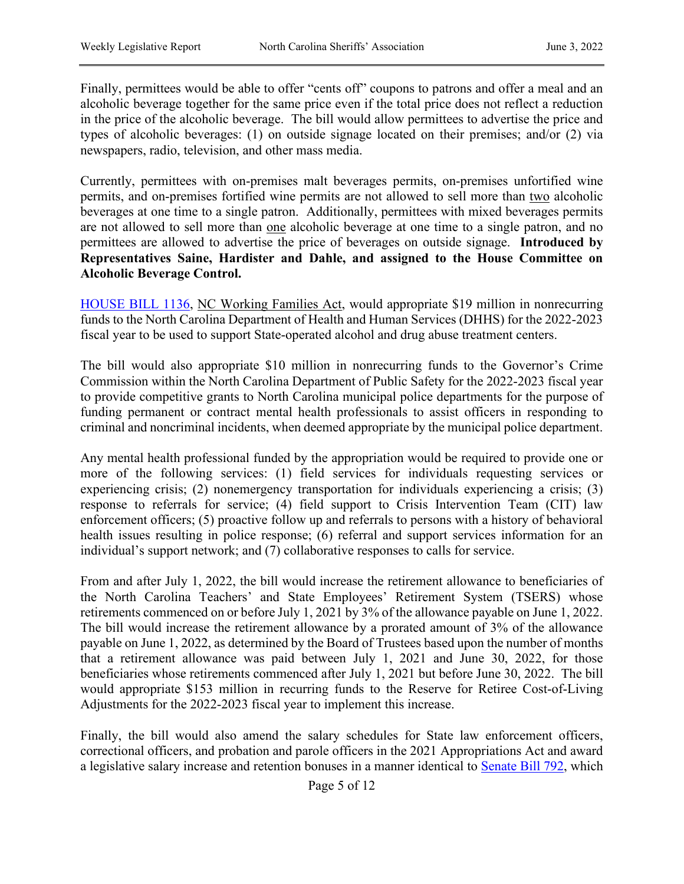Finally, permittees would be able to offer "cents off" coupons to patrons and offer a meal and an alcoholic beverage together for the same price even if the total price does not reflect a reduction in the price of the alcoholic beverage. The bill would allow permittees to advertise the price and types of alcoholic beverages: (1) on outside signage located on their premises; and/or (2) via newspapers, radio, television, and other mass media.

Currently, permittees with on-premises malt beverages permits, on-premises unfortified wine permits, and on-premises fortified wine permits are not allowed to sell more than two alcoholic beverages at one time to a single patron. Additionally, permittees with mixed beverages permits are not allowed to sell more than one alcoholic beverage at one time to a single patron, and no permittees are allowed to advertise the price of beverages on outside signage. **Introduced by Representatives Saine, Hardister and Dahle, and assigned to the House Committee on Alcoholic Beverage Control.** 

[HOUSE BILL 1136,](https://www.ncleg.gov/BillLookUp/2021/HB1136) NC Working Families Act, would appropriate \$19 million in nonrecurring funds to the North Carolina Department of Health and Human Services (DHHS) for the 2022-2023 fiscal year to be used to support State-operated alcohol and drug abuse treatment centers.

The bill would also appropriate \$10 million in nonrecurring funds to the Governor's Crime Commission within the North Carolina Department of Public Safety for the 2022-2023 fiscal year to provide competitive grants to North Carolina municipal police departments for the purpose of funding permanent or contract mental health professionals to assist officers in responding to criminal and noncriminal incidents, when deemed appropriate by the municipal police department.

Any mental health professional funded by the appropriation would be required to provide one or more of the following services: (1) field services for individuals requesting services or experiencing crisis; (2) nonemergency transportation for individuals experiencing a crisis; (3) response to referrals for service; (4) field support to Crisis Intervention Team (CIT) law enforcement officers; (5) proactive follow up and referrals to persons with a history of behavioral health issues resulting in police response; (6) referral and support services information for an individual's support network; and (7) collaborative responses to calls for service.

From and after July 1, 2022, the bill would increase the retirement allowance to beneficiaries of the North Carolina Teachers' and State Employees' Retirement System (TSERS) whose retirements commenced on or before July 1, 2021 by 3% of the allowance payable on June 1, 2022. The bill would increase the retirement allowance by a prorated amount of 3% of the allowance payable on June 1, 2022, as determined by the Board of Trustees based upon the number of months that a retirement allowance was paid between July 1, 2021 and June 30, 2022, for those beneficiaries whose retirements commenced after July 1, 2021 but before June 30, 2022. The bill would appropriate \$153 million in recurring funds to the Reserve for Retiree Cost-of-Living Adjustments for the 2022-2023 fiscal year to implement this increase.

Finally, the bill would also amend the salary schedules for State law enforcement officers, correctional officers, and probation and parole officers in the 2021 Appropriations Act and award a legislative salary increase and retention bonuses in a manner identical to [Senate Bill 792,](https://www.ncleg.gov/BillLookUp/2021/S792) which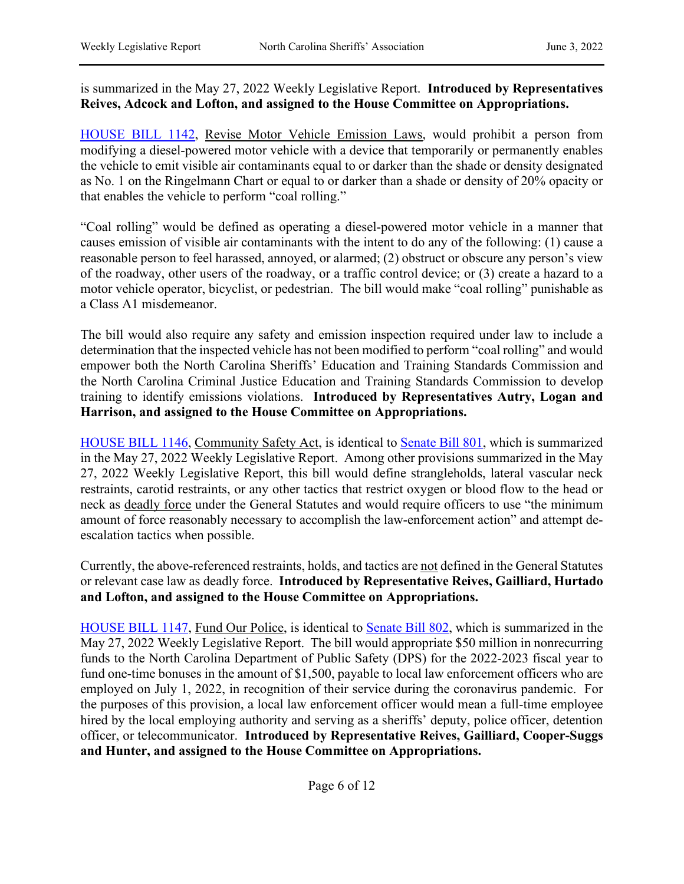## is summarized in the May 27, 2022 Weekly Legislative Report. **Introduced by Representatives Reives, Adcock and Lofton, and assigned to the House Committee on Appropriations.**

[HOUSE BILL 1142,](https://www.ncleg.gov/BillLookUp/2021/HB1142) Revise Motor Vehicle Emission Laws, would prohibit a person from modifying a diesel-powered motor vehicle with a device that temporarily or permanently enables the vehicle to emit visible air contaminants equal to or darker than the shade or density designated as No. 1 on the Ringelmann Chart or equal to or darker than a shade or density of 20% opacity or that enables the vehicle to perform "coal rolling."

"Coal rolling" would be defined as operating a diesel-powered motor vehicle in a manner that causes emission of visible air contaminants with the intent to do any of the following: (1) cause a reasonable person to feel harassed, annoyed, or alarmed; (2) obstruct or obscure any person's view of the roadway, other users of the roadway, or a traffic control device; or (3) create a hazard to a motor vehicle operator, bicyclist, or pedestrian. The bill would make "coal rolling" punishable as a Class A1 misdemeanor.

The bill would also require any safety and emission inspection required under law to include a determination that the inspected vehicle has not been modified to perform "coal rolling" and would empower both the North Carolina Sheriffs' Education and Training Standards Commission and the North Carolina Criminal Justice Education and Training Standards Commission to develop training to identify emissions violations. **Introduced by Representatives Autry, Logan and Harrison, and assigned to the House Committee on Appropriations.** 

[HOUSE BILL 1146,](https://www.ncleg.gov/BillLookUp/2021/HB1146) Community Safety Act, is identical to [Senate Bill 801,](https://www.ncleg.gov/BillLookUp/2021/SB801) which is summarized in the May 27, 2022 Weekly Legislative Report. Among other provisions summarized in the May 27, 2022 Weekly Legislative Report, this bill would define strangleholds, lateral vascular neck restraints, carotid restraints, or any other tactics that restrict oxygen or blood flow to the head or neck as deadly force under the General Statutes and would require officers to use "the minimum amount of force reasonably necessary to accomplish the law-enforcement action" and attempt deescalation tactics when possible.

Currently, the above-referenced restraints, holds, and tactics are not defined in the General Statutes or relevant case law as deadly force. **Introduced by Representative Reives, Gailliard, Hurtado and Lofton, and assigned to the House Committee on Appropriations.** 

[HOUSE BILL 1147,](https://www.ncleg.gov/BillLookUp/2021/HB1147) Fund Our Police, is identical to [Senate Bill 802,](https://www.ncleg.gov/BillLookUp/2021/SB802) which is summarized in the May 27, 2022 Weekly Legislative Report. The bill would appropriate \$50 million in nonrecurring funds to the North Carolina Department of Public Safety (DPS) for the 2022-2023 fiscal year to fund one-time bonuses in the amount of \$1,500, payable to local law enforcement officers who are employed on July 1, 2022, in recognition of their service during the coronavirus pandemic. For the purposes of this provision, a local law enforcement officer would mean a full-time employee hired by the local employing authority and serving as a sheriffs' deputy, police officer, detention officer, or telecommunicator. **Introduced by Representative Reives, Gailliard, Cooper-Suggs and Hunter, and assigned to the House Committee on Appropriations.**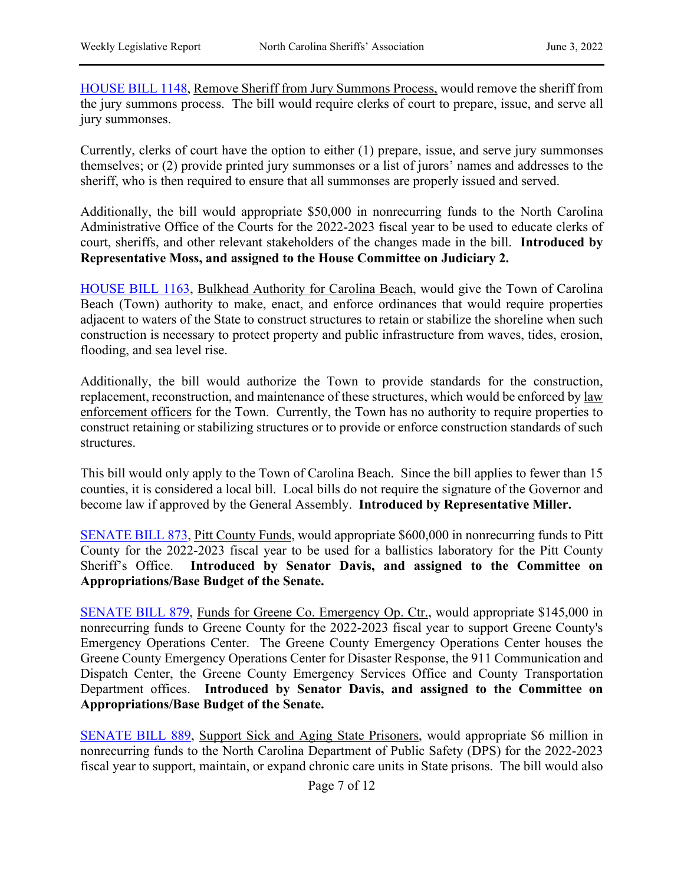[HOUSE BILL 1148,](https://www.ncleg.gov/BillLookUp/2021/HB1148) Remove Sheriff from Jury Summons Process, would remove the sheriff from the jury summons process. The bill would require clerks of court to prepare, issue, and serve all jury summonses.

Currently, clerks of court have the option to either (1) prepare, issue, and serve jury summonses themselves; or (2) provide printed jury summonses or a list of jurors' names and addresses to the sheriff, who is then required to ensure that all summonses are properly issued and served.

Additionally, the bill would appropriate \$50,000 in nonrecurring funds to the North Carolina Administrative Office of the Courts for the 2022-2023 fiscal year to be used to educate clerks of court, sheriffs, and other relevant stakeholders of the changes made in the bill. **Introduced by Representative Moss, and assigned to the House Committee on Judiciary 2.**

[HOUSE BILL 1163,](https://www.ncleg.gov/BillLookUp/2021/HB1163) Bulkhead Authority for Carolina Beach, would give the Town of Carolina Beach (Town) authority to make, enact, and enforce ordinances that would require properties adjacent to waters of the State to construct structures to retain or stabilize the shoreline when such construction is necessary to protect property and public infrastructure from waves, tides, erosion, flooding, and sea level rise.

Additionally, the bill would authorize the Town to provide standards for the construction, replacement, reconstruction, and maintenance of these structures, which would be enforced by law enforcement officers for the Town. Currently, the Town has no authority to require properties to construct retaining or stabilizing structures or to provide or enforce construction standards of such structures.

This bill would only apply to the Town of Carolina Beach. Since the bill applies to fewer than 15 counties, it is considered a local bill. Local bills do not require the signature of the Governor and become law if approved by the General Assembly. **Introduced by Representative Miller.**

[SENATE BILL 873,](https://www.ncleg.gov/BillLookUp/2021/SB873) Pitt County Funds, would appropriate \$600,000 in nonrecurring funds to Pitt County for the 2022-2023 fiscal year to be used for a ballistics laboratory for the Pitt County Sheriff's Office. **Introduced by Senator Davis, and assigned to the Committee on Appropriations/Base Budget of the Senate.** 

[SENATE BILL 879,](https://www.ncleg.gov/BillLookUp/2021/SB879) Funds for Greene Co. Emergency Op. Ctr., would appropriate \$145,000 in nonrecurring funds to Greene County for the 2022-2023 fiscal year to support Greene County's Emergency Operations Center. The Greene County Emergency Operations Center houses the Greene County Emergency Operations Center for Disaster Response, the 911 Communication and Dispatch Center, the Greene County Emergency Services Office and County Transportation Department offices. **Introduced by Senator Davis, and assigned to the Committee on Appropriations/Base Budget of the Senate.**

[SENATE BILL 889,](https://www.ncleg.gov/BillLookUp/2021/SB889) Support Sick and Aging State Prisoners, would appropriate \$6 million in nonrecurring funds to the North Carolina Department of Public Safety (DPS) for the 2022-2023 fiscal year to support, maintain, or expand chronic care units in State prisons. The bill would also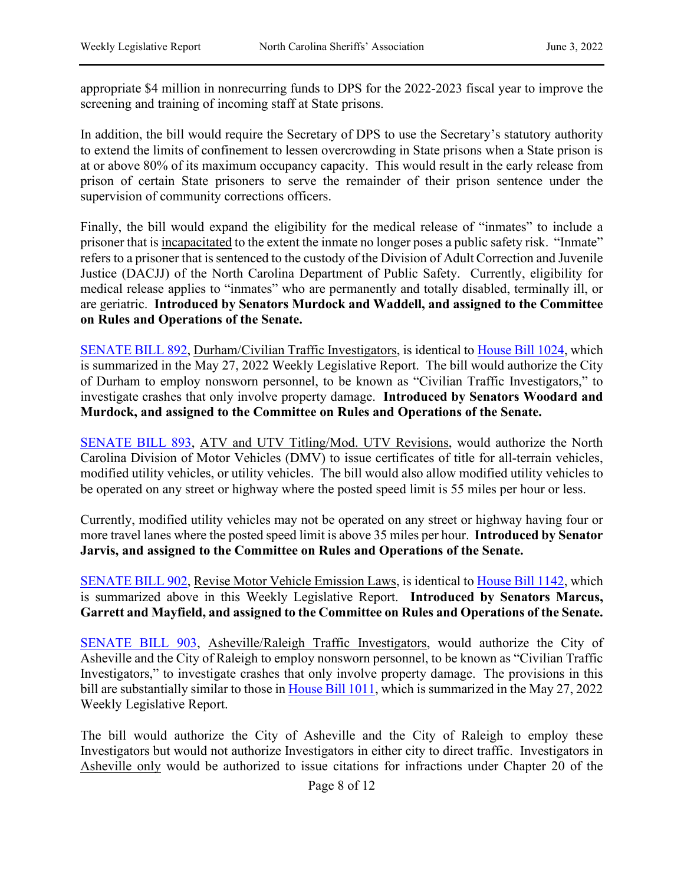appropriate \$4 million in nonrecurring funds to DPS for the 2022-2023 fiscal year to improve the screening and training of incoming staff at State prisons.

In addition, the bill would require the Secretary of DPS to use the Secretary's statutory authority to extend the limits of confinement to lessen overcrowding in State prisons when a State prison is at or above 80% of its maximum occupancy capacity. This would result in the early release from prison of certain State prisoners to serve the remainder of their prison sentence under the supervision of community corrections officers.

Finally, the bill would expand the eligibility for the medical release of "inmates" to include a prisoner that is incapacitated to the extent the inmate no longer poses a public safety risk. "Inmate" refers to a prisoner that is sentenced to the custody of the Division of Adult Correction and Juvenile Justice (DACJJ) of the North Carolina Department of Public Safety. Currently, eligibility for medical release applies to "inmates" who are permanently and totally disabled, terminally ill, or are geriatric. **Introduced by Senators Murdock and Waddell, and assigned to the Committee on Rules and Operations of the Senate.** 

[SENATE BILL 892,](https://www.ncleg.gov/BillLookUp/2021/SB892) Durham/Civilian Traffic Investigators, is identical to [House Bill 1024,](https://www.ncleg.gov/BillLookUp/2021/H1024) which is summarized in the May 27, 2022 Weekly Legislative Report. The bill would authorize the City of Durham to employ nonsworn personnel, to be known as "Civilian Traffic Investigators," to investigate crashes that only involve property damage. **Introduced by Senators Woodard and Murdock, and assigned to the Committee on Rules and Operations of the Senate.**

[SENATE BILL 893,](https://www.ncleg.gov/BillLookUp/2021/SB893) ATV and UTV Titling/Mod. UTV Revisions, would authorize the North Carolina Division of Motor Vehicles (DMV) to issue certificates of title for all-terrain vehicles, modified utility vehicles, or utility vehicles. The bill would also allow modified utility vehicles to be operated on any street or highway where the posted speed limit is 55 miles per hour or less.

Currently, modified utility vehicles may not be operated on any street or highway having four or more travel lanes where the posted speed limit is above 35 miles per hour. **Introduced by Senator Jarvis, and assigned to the Committee on Rules and Operations of the Senate.**

[SENATE BILL 902,](https://www.ncleg.gov/BillLookUp/2021/SB902) Revise Motor Vehicle Emission Laws, is identical to [House Bill 1142,](https://www.ncleg.gov/BillLookUp/2021/h1142) which is summarized above in this Weekly Legislative Report. **Introduced by Senators Marcus, Garrett and Mayfield, and assigned to the Committee on Rules and Operations of the Senate.**

[SENATE BILL 903,](https://www.ncleg.gov/BillLookUp/2021/SB903) Asheville/Raleigh Traffic Investigators, would authorize the City of Asheville and the City of Raleigh to employ nonsworn personnel, to be known as "Civilian Traffic Investigators," to investigate crashes that only involve property damage. The provisions in this bill are substantially similar to those in [House Bill 1011,](https://www.ncleg.gov/BillLookUp/2021/H1011) which is summarized in the May 27, 2022 Weekly Legislative Report.

The bill would authorize the City of Asheville and the City of Raleigh to employ these Investigators but would not authorize Investigators in either city to direct traffic. Investigators in Asheville only would be authorized to issue citations for infractions under Chapter 20 of the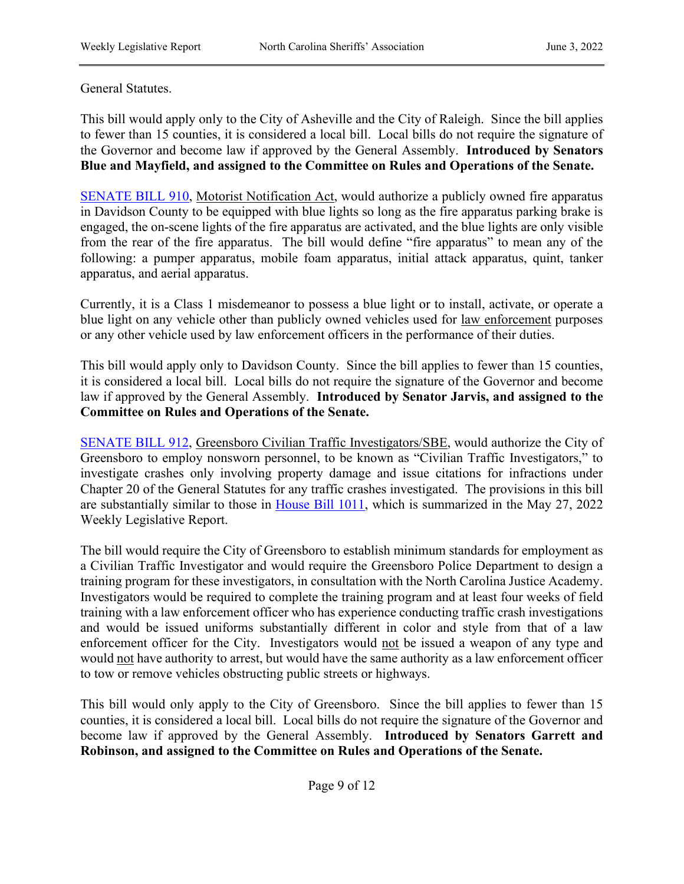#### General Statutes.

This bill would apply only to the City of Asheville and the City of Raleigh. Since the bill applies to fewer than 15 counties, it is considered a local bill. Local bills do not require the signature of the Governor and become law if approved by the General Assembly. **Introduced by Senators Blue and Mayfield, and assigned to the Committee on Rules and Operations of the Senate.** 

[SENATE BILL 910,](https://www.ncleg.gov/BillLookUp/2021/SB910) Motorist Notification Act, would authorize a publicly owned fire apparatus in Davidson County to be equipped with blue lights so long as the fire apparatus parking brake is engaged, the on-scene lights of the fire apparatus are activated, and the blue lights are only visible from the rear of the fire apparatus. The bill would define "fire apparatus" to mean any of the following: a pumper apparatus, mobile foam apparatus, initial attack apparatus, quint, tanker apparatus, and aerial apparatus.

Currently, it is a Class 1 misdemeanor to possess a blue light or to install, activate, or operate a blue light on any vehicle other than publicly owned vehicles used for law enforcement purposes or any other vehicle used by law enforcement officers in the performance of their duties.

This bill would apply only to Davidson County. Since the bill applies to fewer than 15 counties, it is considered a local bill. Local bills do not require the signature of the Governor and become law if approved by the General Assembly. **Introduced by Senator Jarvis, and assigned to the Committee on Rules and Operations of the Senate.**

[SENATE BILL 912,](https://www.ncleg.gov/BillLookUp/2021/SB912) Greensboro Civilian Traffic Investigators/SBE, would authorize the City of Greensboro to employ nonsworn personnel, to be known as "Civilian Traffic Investigators," to investigate crashes only involving property damage and issue citations for infractions under Chapter 20 of the General Statutes for any traffic crashes investigated. The provisions in this bill are substantially similar to those in [House Bill 1011,](https://www.ncleg.gov/BillLookUp/2021/h1011) which is summarized in the May 27, 2022 Weekly Legislative Report.

The bill would require the City of Greensboro to establish minimum standards for employment as a Civilian Traffic Investigator and would require the Greensboro Police Department to design a training program for these investigators, in consultation with the North Carolina Justice Academy. Investigators would be required to complete the training program and at least four weeks of field training with a law enforcement officer who has experience conducting traffic crash investigations and would be issued uniforms substantially different in color and style from that of a law enforcement officer for the City. Investigators would not be issued a weapon of any type and would not have authority to arrest, but would have the same authority as a law enforcement officer to tow or remove vehicles obstructing public streets or highways.

This bill would only apply to the City of Greensboro. Since the bill applies to fewer than 15 counties, it is considered a local bill. Local bills do not require the signature of the Governor and become law if approved by the General Assembly. **Introduced by Senators Garrett and Robinson, and assigned to the Committee on Rules and Operations of the Senate.**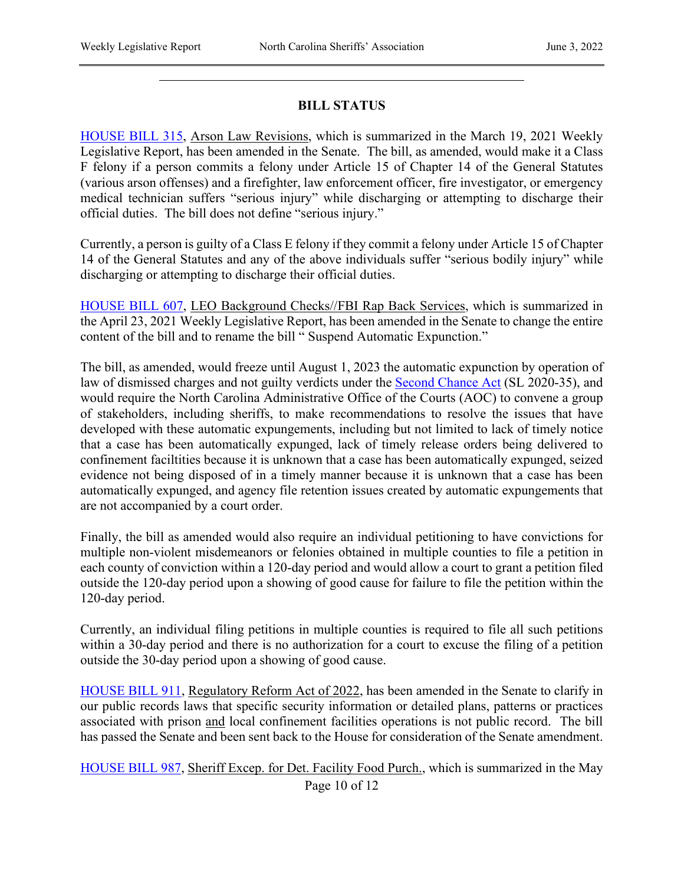### **BILL STATUS**

[HOUSE BILL 315,](https://www.ncleg.gov/BillLookUp/2021/HB315) Arson Law Revisions, which is summarized in the March 19, 2021 Weekly Legislative Report, has been amended in the Senate. The bill, as amended, would make it a Class F felony if a person commits a felony under Article 15 of Chapter 14 of the General Statutes (various arson offenses) and a firefighter, law enforcement officer, fire investigator, or emergency medical technician suffers "serious injury" while discharging or attempting to discharge their official duties. The bill does not define "serious injury."

Currently, a person is guilty of a Class E felony if they commit a felony under Article 15 of Chapter 14 of the General Statutes and any of the above individuals suffer "serious bodily injury" while discharging or attempting to discharge their official duties.

[HOUSE BILL 607,](https://www.ncleg.gov/BillLookUp/2021/HB607) LEO Background Checks//FBI Rap Back Services, which is summarized in the April 23, 2021 Weekly Legislative Report, has been amended in the Senate to change the entire content of the bill and to rename the bill " Suspend Automatic Expunction."

The bill, as amended, would freeze until August 1, 2023 the automatic expunction by operation of law of dismissed charges and not guilty verdicts under the [Second Chance Act](https://www.ncleg.gov/BillLookup/2019/S562) (SL 2020-35), and would require the North Carolina Administrative Office of the Courts (AOC) to convene a group of stakeholders, including sheriffs, to make recommendations to resolve the issues that have developed with these automatic expungements, including but not limited to lack of timely notice that a case has been automatically expunged, lack of timely release orders being delivered to confinement faciltities because it is unknown that a case has been automatically expunged, seized evidence not being disposed of in a timely manner because it is unknown that a case has been automatically expunged, and agency file retention issues created by automatic expungements that are not accompanied by a court order.

Finally, the bill as amended would also require an individual petitioning to have convictions for multiple non-violent misdemeanors or felonies obtained in multiple counties to file a petition in each county of conviction within a 120-day period and would allow a court to grant a petition filed outside the 120-day period upon a showing of good cause for failure to file the petition within the 120-day period.

Currently, an individual filing petitions in multiple counties is required to file all such petitions within a 30-day period and there is no authorization for a court to excuse the filing of a petition outside the 30-day period upon a showing of good cause.

[HOUSE BILL 911,](https://www.ncleg.gov/BillLookUp/2021/HB911) Regulatory Reform Act of 2022, has been amended in the Senate to clarify in our public records laws that specific security information or detailed plans, patterns or practices associated with prison and local confinement facilities operations is not public record. The bill has passed the Senate and been sent back to the House for consideration of the Senate amendment.

Page 10 of 12 [HOUSE BILL 987,](https://www.ncleg.gov/BillLookUp/2021/HB987) Sheriff Excep. for Det. Facility Food Purch., which is summarized in the May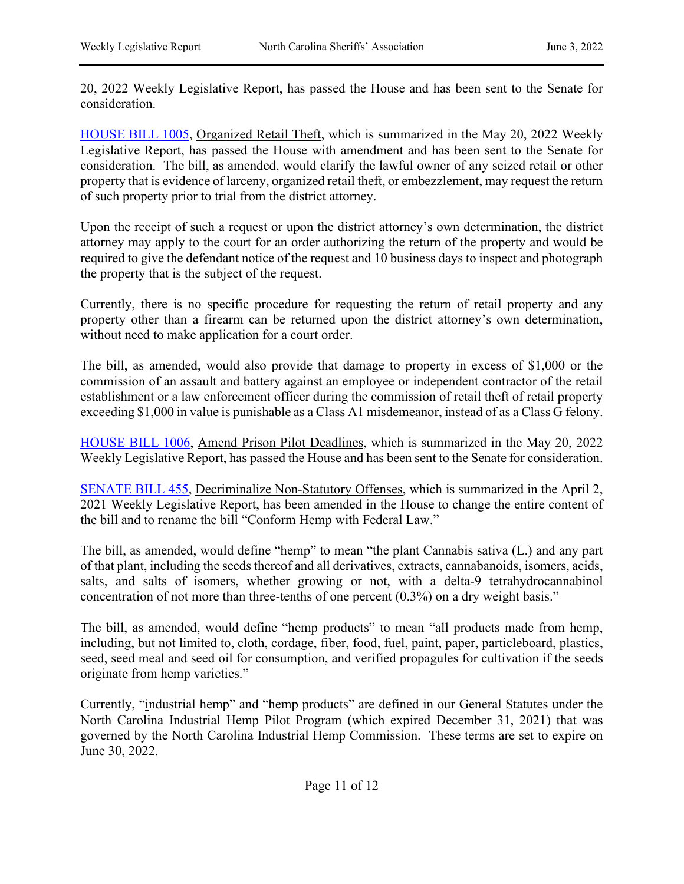20, 2022 Weekly Legislative Report, has passed the House and has been sent to the Senate for consideration.

[HOUSE BILL 1005,](https://www.ncleg.gov/BillLookUp/2021/HB1005) Organized Retail Theft, which is summarized in the May 20, 2022 Weekly Legislative Report, has passed the House with amendment and has been sent to the Senate for consideration. The bill, as amended, would clarify the lawful owner of any seized retail or other property that is evidence of larceny, organized retail theft, or embezzlement, may request the return of such property prior to trial from the district attorney.

Upon the receipt of such a request or upon the district attorney's own determination, the district attorney may apply to the court for an order authorizing the return of the property and would be required to give the defendant notice of the request and 10 business days to inspect and photograph the property that is the subject of the request.

Currently, there is no specific procedure for requesting the return of retail property and any property other than a firearm can be returned upon the district attorney's own determination, without need to make application for a court order.

The bill, as amended, would also provide that damage to property in excess of \$1,000 or the commission of an assault and battery against an employee or independent contractor of the retail establishment or a law enforcement officer during the commission of retail theft of retail property exceeding \$1,000 in value is punishable as a Class A1 misdemeanor, instead of as a Class G felony.

[HOUSE BILL 1006,](https://www.ncleg.gov/BillLookUp/2021/H1006) Amend Prison Pilot Deadlines, which is summarized in the May 20, 2022 Weekly Legislative Report, has passed the House and has been sent to the Senate for consideration.

[SENATE BILL 455,](https://www.ncleg.gov/BillLookUp/2021/S455) Decriminalize Non-Statutory Offenses, which is summarized in the April 2, 2021 Weekly Legislative Report, has been amended in the House to change the entire content of the bill and to rename the bill "Conform Hemp with Federal Law."

The bill, as amended, would define "hemp" to mean "the plant Cannabis sativa (L.) and any part of that plant, including the seeds thereof and all derivatives, extracts, cannabanoids, isomers, acids, salts, and salts of isomers, whether growing or not, with a delta-9 tetrahydrocannabinol concentration of not more than three-tenths of one percent (0.3%) on a dry weight basis."

The bill, as amended, would define "hemp products" to mean "all products made from hemp, including, but not limited to, cloth, cordage, fiber, food, fuel, paint, paper, particleboard, plastics, seed, seed meal and seed oil for consumption, and verified propagules for cultivation if the seeds originate from hemp varieties."

Currently, "industrial hemp" and "hemp products" are defined in our General Statutes under the North Carolina Industrial Hemp Pilot Program (which expired December 31, 2021) that was governed by the North Carolina Industrial Hemp Commission. These terms are set to expire on June 30, 2022.